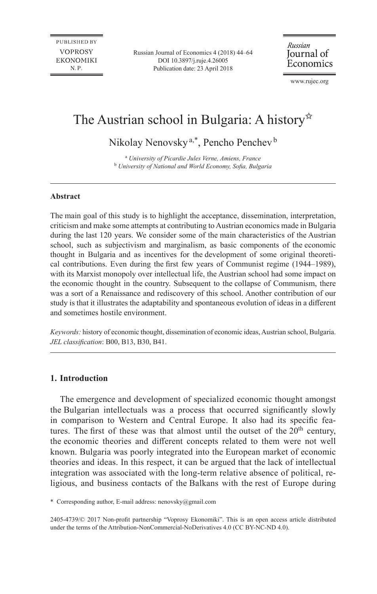Russian Journal of Economics 4 (2018) 44–64 [DOI 10.3897/j.ruje.4.26005](https://doi.org/10.3897/j.ruje.4.26005) Publication date: 23 April 2018

Russian Journal of Economics

[www.rujec.org](http://www.rujec.org)

# The Austrian school in Bulgaria: A history<sup> $\propto$ </sup>

Nikolay Nenovsky<sup>a,\*</sup>, Pencho Penchev<sup>b</sup>

a  *University of Picardie Jules Verne, Amiens, France* <sup>b</sup> *University of National and World Economy, Sofia, Bulgaria*

#### **Abstract**

The main goal of this study is to highlight the acceptance, dissemination, interpretation, criticism and make some attempts at contributing to Austrian economics made in Bulgaria during the last 120 years. We consider some of the main characteristics of the Austrian school, such as subjectivism and marginalism, as basic components of the economic thought in Bulgaria and as incentives for the development of some original theoretical contributions. Even during the first few years of Communist regime (1944–1989), with its Marxist monopoly over intellectual life, the Austrian school had some impact on the economic thought in the country. Subsequent to the collapse of Communism, there was a sort of a Renaissance and rediscovery of this school. Another contribution of our study is that it illustrates the adaptability and spontaneous evolution of ideas in a different and sometimes hostile environment.

*Keywords:* history of economic thought, dissemination of economic ideas, Austrian school, Bulgaria. *JEL classification*: B00, B13, B30, B41.

### **1. Introduction**

The emergence and development of specialized economic thought amongst the Bulgarian intellectuals was a process that occurred significantly slowly in comparison to Western and Central Europe. It also had its specific features. The first of these was that almost until the outset of the  $20<sup>th</sup>$  century, the economic theories and different concepts related to them were not well known. Bulgaria was poorly integrated into the European market of economic theories and ideas. In this respect, it can be argued that the lack of intellectual integration was associated with the long-term relative absence of political, religious, and business contacts of the Balkans with the rest of Europe during

\* Corresponding author, E-mail address: [nenovsky@gmail.com](mailto:nenovsky@gmail.com)

2405-4739/© 2017 Non-profit partnership "Voprosy Ekonomiki". This is an open access article distributed under the terms of the Attribution-NonCommercial-NoDerivatives 4.0 (CC BY-NC-ND 4.0).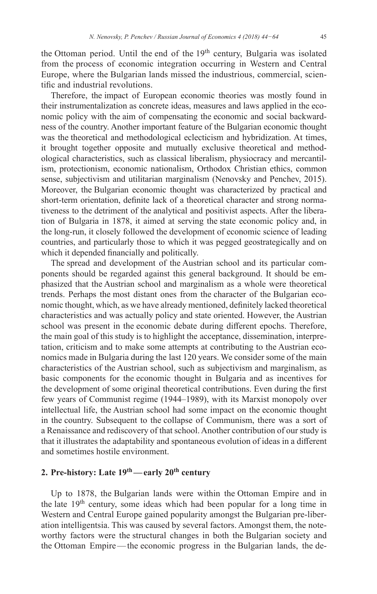the Ottoman period. Until the end of the  $19<sup>th</sup>$  century, Bulgaria was isolated from the process of economic integration occurring in Western and Central Europe, where the Bulgarian lands missed the industrious, commercial, scientific and industrial revolutions.

Therefore, the impact of European economic theories was mostly found in their instrumentalization as concrete ideas, measures and laws applied in the economic policy with the aim of compensating the economic and social backwardness of the country. Another important feature of the Bulgarian economic thought was the theoretical and methodological eclecticism and hybridization. At times, it brought together opposite and mutually exclusive theoretical and methodological characteristics, such as classical liberalism, physiocracy and mercantilism, protectionism, economic nationalism, Orthodox Christian ethics, common sense, subjectivism and utilitarian marginalism (Nenovsky and Penchev, 2015). Moreover, the Bulgarian economic thought was characterized by practical and short-term orientation, definite lack of a theoretical character and strong normativeness to the detriment of the analytical and positivist aspects. After the liberation of Bulgaria in 1878, it aimed at serving the state economic policy and, in the long-run, it closely followed the development of economic science of leading countries, and particularly those to which it was pegged geostrategically and on which it depended financially and politically.

The spread and development of the Austrian school and its particular components should be regarded against this general background. It should be emphasized that the Austrian school and marginalism as a whole were theoretical trends. Perhaps the most distant ones from the character of the Bulgarian economic thought, which, as we have already mentioned, definitely lacked theoretical characteristics and was actually policy and state oriented. However, the Austrian school was present in the economic debate during different epochs. Therefore, the main goal of this study is to highlight the acceptance, dissemination, interpretation, criticism and to make some attempts at contributing to the Austrian economics made in Bulgaria during the last 120 years. We consider some of the main characteristics of the Austrian school, such as subjectivism and marginalism, as basic components for the economic thought in Bulgaria and as incentives for the development of some original theoretical contributions. Even during the first few years of Communist regime (1944–1989), with its Marxist monopoly over intellectual life, the Austrian school had some impact on the economic thought in the country. Subsequent to the collapse of Communism, there was a sort of a Renaissance and rediscovery of that school. Another contribution of our study is that it illustrates the adaptability and spontaneous evolution of ideas in a different and sometimes hostile environment.

# **2. Pre-history: Late 19th—early 20th century**

Up to 1878, the Bulgarian lands were within the Ottoman Empire and in the late  $19<sup>th</sup>$  century, some ideas which had been popular for a long time in Western and Central Europe gained popularity amongst the Bulgarian pre-liberation intelligentsia. This was caused by several factors. Amongst them, the noteworthy factors were the structural changes in both the Bulgarian society and the Ottoman Empire—the economic progress in the Bulgarian lands, the de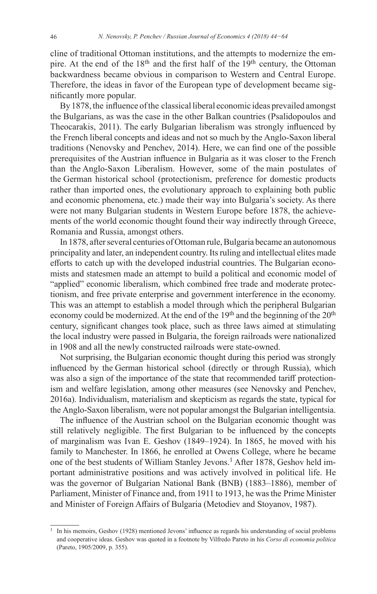cline of traditional Ottoman institutions, and the attempts to modernize the empire. At the end of the  $18<sup>th</sup>$  and the first half of the  $19<sup>th</sup>$  century, the Ottoman backwardness became obvious in comparison to Western and Central Europe. Therefore, the ideas in favor of the European type of development became significantly more popular.

By 1878, the influence of the classical liberal economic ideas prevailed amongst the Bulgarians, as was the case in the other Balkan countries (Psalidopoulos and Theocarakis, 2011). The early Bulgarian liberalism was strongly influenced by the French liberal concepts and ideas and not so much by the Anglo-Saxon liberal traditions (Nenovsky and Penchev, 2014). Here, we can find one of the possible prerequisites of the Austrian influence in Bulgaria as it was closer to the French than the Anglo-Saxon Liberalism. However, some of the main postulates of the German historical school (protectionism, preference for domestic products rather than imported ones, the evolutionary approach to explaining both public and economic phenomena, etc.) made their way into Bulgaria's society. As there were not many Bulgarian students in Western Europe before 1878, the achievements of the world economic thought found their way indirectly through Greece, Romania and Russia, amongst others.

In 1878, after several centuries of Ottoman rule, Bulgaria became an autonomous principality and later, an independent country. Its ruling and intellectual elites made efforts to catch up with the developed industrial countries. The Bulgarian economists and statesmen made an attempt to build a political and economic model of "applied" economic liberalism, which combined free trade and moderate protectionism, and free private enterprise and government interference in the economy. This was an attempt to establish a model through which the peripheral Bulgarian economy could be modernized. At the end of the  $19<sup>th</sup>$  and the beginning of the  $20<sup>th</sup>$ century, significant changes took place, such as three laws aimed at stimulating the local industry were passed in Bulgaria, the foreign railroads were nationalized in 1908 and all the newly constructed railroads were state-owned.

Not surprising, the Bulgarian economic thought during this period was strongly influenced by the German historical school (directly or through Russia), which was also a sign of the importance of the state that recommended tariff protectionism and welfare legislation, among other measures (see Nenovsky and Penchev, 2016a). Individualism, materialism and skepticism as regards the state, typical for the Anglo-Saxon liberalism, were not popular amongst the Bulgarian intelligentsia.

The influence of the Austrian school on the Bulgarian economic thought was still relatively negligible. The first Bulgarian to be influenced by the concepts of marginalism was Ivan E. Geshov (1849–1924). In 1865, he moved with his family to Manchester. In 1866, he enrolled at Owens College, where he became one of the best students of William Stanley Jevons.<sup>1</sup> After 1878, Geshov held important administrative positions and was actively involved in political life. He was the governor of Bulgarian National Bank (BNB) (1883–1886), member of Parliament, Minister of Finance and, from 1911 to 1913, he was the Prime Minister and Minister of Foreign Affairs of Bulgaria (Metodiev and Stoyanov, 1987).

<sup>1</sup> In his memoirs, Geshov (1928) mentioned Jevons' influence as regards his understanding of social problems and cooperative ideas. Geshov was quoted in a footnote by Vilfredo Pareto in his *Corso di economia politica* (Pareto, 1905/2009, p. 355).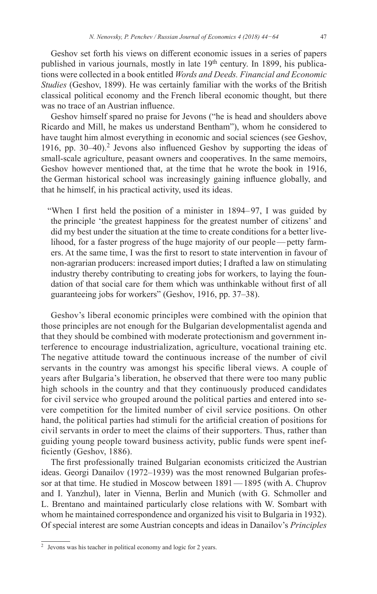Geshov set forth his views on different economic issues in a series of papers published in various journals, mostly in late 19<sup>th</sup> century. In 1899, his publications were collected in a book entitled *Words and Deeds. Financial and Economic Studies* (Geshov, 1899). He was certainly familiar with the works of the British classical political economy and the French liberal economic thought, but there was no trace of an Austrian influence.

Geshov himself spared no praise for Jevons ("he is head and shoulders above Ricardo and Mill, he makes us understand Bentham"), whom he considered to have taught him almost everything in economic and social sciences (see Geshov, 1916, pp.  $30-40$ ).<sup>2</sup> Jevons also influenced Geshov by supporting the ideas of small-scale agriculture, peasant owners and cooperatives. In the same memoirs, Geshov however mentioned that, at the time that he wrote the book in 1916, the German historical school was increasingly gaining influence globally, and that he himself, in his practical activity, used its ideas.

"When I first held the position of a minister in 1894–97, I was guided by the principle 'the greatest happiness for the greatest number of citizens' and did my best under the situation at the time to create conditions for a better livelihood, for a faster progress of the huge majority of our people—petty farmers. At the same time, I was the first to resort to state intervention in favour of non-agrarian producers: increased import duties; I drafted a law on stimulating industry thereby contributing to creating jobs for workers, to laying the foundation of that social care for them which was unthinkable without first of all guaranteeing jobs for workers" (Geshov, 1916, pp. 37–38).

Geshov's liberal economic principles were combined with the opinion that those principles are not enough for the Bulgarian developmentalist agenda and that they should be combined with moderate protectionism and government interference to encourage industrialization, agriculture, vocational training etc. The negative attitude toward the continuous increase of the number of civil servants in the country was amongst his specific liberal views. A couple of years after Bulgaria's liberation, he observed that there were too many public high schools in the country and that they continuously produced candidates for civil service who grouped around the political parties and entered into severe competition for the limited number of civil service positions. On other hand, the political parties had stimuli for the artificial creation of positions for civil servants in order to meet the claims of their supporters. Thus, rather than guiding young people toward business activity, public funds were spent inefficiently (Geshov, 1886).

The first professionally trained Bulgarian economists criticized the Austrian ideas. Georgi Danailov (1972–1939) was the most renowned Bulgarian professor at that time. He studied in Moscow between 1891—1895 (with A. Chuprov and I. Yanzhul), later in Vienna, Berlin and Munich (with G. Schmoller and L. Brentano and maintained particularly close relations with W. Sombart with whom he maintained correspondence and organized his visit to Bulgaria in 1932). Of special interest are some Austrian concepts and ideas in Danailov's *Principles* 

<sup>2</sup> Jevons was his teacher in political economy and logic for 2 years.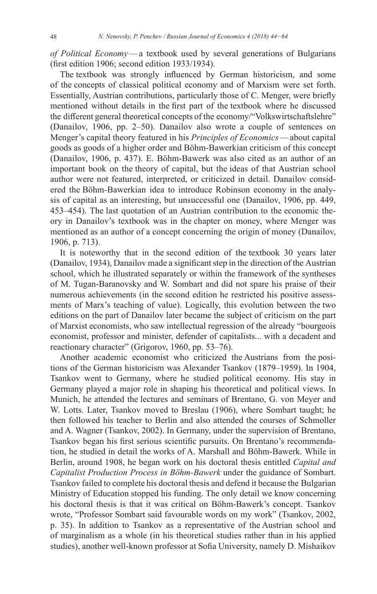*of Political Economy*—a textbook used by several generations of Bulgarians (first edition 1906; second edition 1933/1934).

The textbook was strongly influenced by German historicism, and some of the concepts of classical political economy and of Marxism were set forth. Essentially, Austrian contributions, particularly those of C. Menger, were briefly mentioned without details in the first part of the textbook where he discussed the different general theoretical concepts of the economy/"Volkswirtschaftslehre" (Danailov, 1906, pp. 2–50). Danailov also wrote a couple of sentences on Menger's capital theory featured in his *Principles of Economics*—about capital goods as goods of a higher order and Böhm-Bawerkian criticism of this concept (Danailov, 1906, p. 437). E. Böhm-Bawerk was also cited as an author of an important book on the theory of capital, but the ideas of that Austrian school author were not featured, interpreted, or criticized in detail. Danailov considered the Böhm-Bawerkian idea to introduce Robinson economy in the analysis of capital as an interesting, but unsuccessful one (Danailov, 1906, pp. 449, 453–454). The last quotation of an Austrian contribution to the economic theory in Danailov's textbook was in the chapter on money, where Menger was mentioned as an author of a concept concerning the origin of money (Danailov, 1906, p. 713).

It is noteworthy that in the second edition of the textbook 30 years later (Danailov, 1934), Danailov made a significant step in the direction of the Austrian school, which he illustrated separately or within the framework of the syntheses of M. Tugan-Baranovsky and W. Sombart and did not spare his praise of their numerous achievements (in the second edition he restricted his positive assessments of Marx's teaching of value). Logically, this evolution between the two editions on the part of Danailov later became the subject of criticism on the part of Marxist economists, who saw intellectual regression of the already "bourgeois economist, professor and minister, defender of capitalists... with a decadent and reactionary character" (Grigorov, 1960, pp. 53–76).

Another academic economist who criticized the Austrians from the positions of the German historicism was Alexander Tsankov (1879–1959). In 1904, Tsankov went to Germany, where he studied political economy. His stay in Germany played a major role in shaping his theoretical and political views. In Munich, he attended the lectures and seminars of Brentano, G. von Meyer and W. Lotts. Later, Tsankov moved to Breslau (1906), where Sombart taught; he then followed his teacher to Berlin and also attended the courses of Schmoller and A. Wagner (Tsankov, 2002). In Germany, under the supervision of Brentano, Tsankov began his first serious scientific pursuits. On Brentano's recommendation, he studied in detail the works of A. Marshall and Böhm-Bawerk. While in Berlin, around 1908, he began work on his doctoral thesis entitled *Capital and Capitalist Production Process in Böhm‑Bawerk* under the guidance of Sombart. Tsankov failed to complete his doctoral thesis and defend it because the Bulgarian Ministry of Education stopped his funding. The only detail we know concerning his doctoral thesis is that it was critical on Böhm-Bawerk's concept. Tsankov wrote, "Professor Sombart said favourable words on my work" (Tsankov, 2002, p. 35). In addition to Tsankov as a representative of the Austrian school and of marginalism as a whole (in his theoretical studies rather than in his applied studies), another well-known professor at Sofia University, namely D. Mishaikov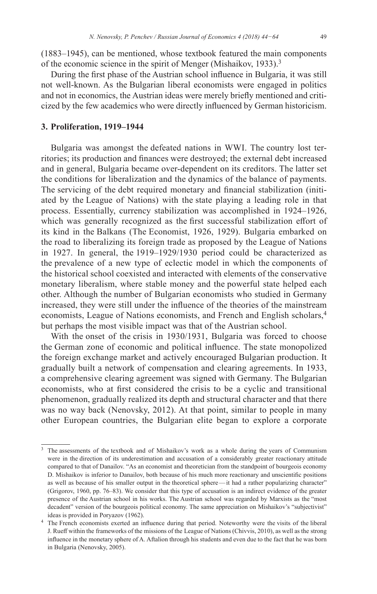(1883–1945), can be mentioned, whose textbook featured the main components of the economic science in the spirit of Menger (Mishaikov, 1933).<sup>3</sup>

During the first phase of the Austrian school influence in Bulgaria, it was still not well-known. As the Bulgarian liberal economists were engaged in politics and not in economics, the Austrian ideas were merely briefly mentioned and criticized by the few academics who were directly influenced by German historicism.

#### **3. Proliferation, 1919–1944**

Bulgaria was amongst the defeated nations in WWI. The country lost territories; its production and finances were destroyed; the external debt increased and in general, Bulgaria became over-dependent on its creditors. The latter set the conditions for liberalization and the dynamics of the balance of payments. The servicing of the debt required monetary and financial stabilization (initiated by the League of Nations) with the state playing a leading role in that process. Essentially, currency stabilization was accomplished in 1924–1926, which was generally recognized as the first successful stabilization effort of its kind in the Balkans (The Economist, 1926, 1929). Bulgaria embarked on the road to liberalizing its foreign trade as proposed by the League of Nations in 1927. In general, the 1919–1929/1930 period could be characterized as the prevalence of a new type of eclectic model in which the components of the historical school coexisted and interacted with elements of the conservative monetary liberalism, where stable money and the powerful state helped each other. Although the number of Bulgarian economists who studied in Germany increased, they were still under the influence of the theories of the mainstream economists, League of Nations economists, and French and English scholars,<sup>4</sup> but perhaps the most visible impact was that of the Austrian school.

With the onset of the crisis in 1930/1931, Bulgaria was forced to choose the German zone of economic and political influence. The state monopolized the foreign exchange market and actively encouraged Bulgarian production. It gradually built a network of compensation and clearing agreements. In 1933, a comprehensive clearing agreement was signed with Germany. The Bulgarian economists, who at first considered the crisis to be a cyclic and transitional phenomenon, gradually realized its depth and structural character and that there was no way back (Nenovsky, 2012). At that point, similar to people in many other European countries, the Bulgarian elite began to explore a corporate

<sup>&</sup>lt;sup>3</sup> The assessments of the textbook and of Mishaikov's work as a whole during the years of Communism were in the direction of its underestimation and accusation of a considerably greater reactionary attitude compared to that of Danailov. "As an economist and theoretician from the standpoint of bourgeois economy D. Mishaikov is inferior to Danailov, both because of his much more reactionary and unscientific positions as well as because of his smaller output in the theoretical sphere—it had a rather popularizing character" (Grigorov, 1960, pp. 76–83). We consider that this type of accusation is an indirect evidence of the greater presence of the Austrian school in his works. The Austrian school was regarded by Marxists as the "most decadent" version of the bourgeois political economy. The same appreciation on Mishaikov's "subjectivist" ideas is provided in Poryazov (1962).<br><sup>4</sup> The French economists exerted an influence during that period. Noteworthy were the visits of the liberal

J. Rueff within the frameworks of the missions of the League of Nations (Chivvis, 2010), as well as the strong influence in the monetary sphere of A. Aftalion through his students and even due to the fact that he was born in Bulgaria (Nenovsky, 2005).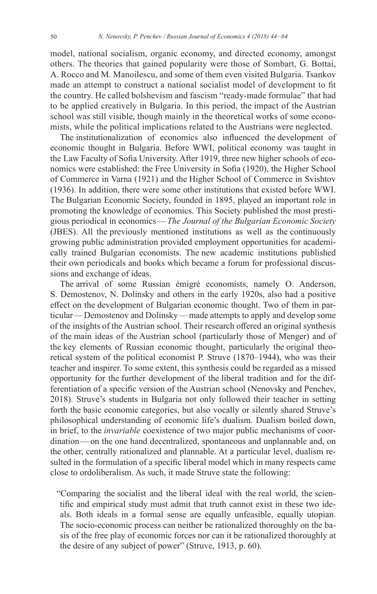model, national socialism, organic economy, and directed economy, amongst others. The theories that gained popularity were those of Sombart, G. Bottai, A. Rocco and M. Manoilescu, and some of them even visited Bulgaria. Tsankov made an attempt to construct a national socialist model of development to fit the country. He called bolshevism and fascism "ready-made formulae" that had to be applied creatively in Bulgaria. In this period, the impact of the Austrian school was still visible, though mainly in the theoretical works of some economists, while the political implications related to the Austrians were neglected.

The institutionalization of economics also influenced the development of economic thought in Bulgaria. Before WWI, political economy was taught in the Law Faculty of Sofia University. After 1919, three new higher schools of economics were established: the Free University in Sofia (1920), the Higher School of Commerce in Varna (1921) and the Higher School of Commerce in Svishtov (1936). In addition, there were some other institutions that existed before WWI. The Bulgarian Economic Society, founded in 1895, played an important role in promoting the knowledge of economics. This Society published the most prestigious periodical in economics—*The Journal of the Bulgarian Economic Society*  (JBES). All the previously mentioned institutions as well as the continuously growing public administration provided employment opportunities for academically trained Bulgarian economists. The new academic institutions published their own periodicals and books which became a forum for professional discussions and exchange of ideas.

The arrival of some Russian émigré economists, namely O. Anderson, S. Demostenov, N. Dolinsky and others in the early 1920s, also had a positive effect on the development of Bulgarian economic thought. Two of them in particular—Demostenov and Dolinsky—made attempts to apply and develop some of the insights of the Austrian school. Their research offered an original synthesis of the main ideas of the Austrian school (particularly those of Menger) and of the key elements of Russian economic thought, particularly the original theoretical system of the political economist P. Struve (1870–1944), who was their teacher and inspirer. To some extent, this synthesis could be regarded as a missed opportunity for the further development of the liberal tradition and for the differentiation of a specific version of the Austrian school (Nenovsky and Penchev, 2018). Struve's students in Bulgaria not only followed their teacher in setting forth the basic economic categories, but also vocally or silently shared Struve's philosophical understanding of economic life's dualism. Dualism boiled down, in brief, to the *invariable* coexistence of two major public mechanisms of coordination—on the one hand decentralized, spontaneous and unplannable and, on the other, centrally rationalized and plannable. At a particular level, dualism resulted in the formulation of a specific liberal model which in many respects came close to ordoliberalism. As such, it made Struve state the following:

"Comparing the socialist and the liberal ideal with the real world, the scientific and empirical study must admit that truth cannot exist in these two ideals. Both ideals in a formal sense are equally unfeasible, equally utopian. The socio-economic process can neither be rationalized thoroughly on the basis of the free play of economic forces nor can it be rationalized thoroughly at the desire of any subject of power" (Struve, 1913, p. 60).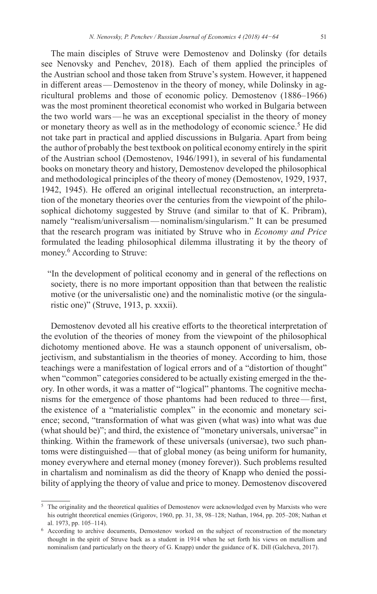The main disciples of Struve were Demostenov and Dolinsky (for details see Nenovsky and Penchev, 2018). Each of them applied the principles of the Austrian school and those taken from Struve's system. However, it happened in different areas—Demostenov in the theory of money, while Dolinsky in agricultural problems and those of economic policy. Demostenov (1886–1966) was the most prominent theoretical economist who worked in Bulgaria between the two world wars—he was an exceptional specialist in the theory of money or monetary theory as well as in the methodology of economic science.<sup>5</sup> He did not take part in practical and applied discussions in Bulgaria. Apart from being the author of probably the best textbook on political economy entirely in the spirit of the Austrian school (Demostenov, 1946/1991), in several of his fundamental books on monetary theory and history, Demostenov developed the philosophical and methodological principles of the theory of money (Demostenov, 1929, 1937, 1942, 1945). He offered an original intellectual reconstruction, an interpretation of the monetary theories over the centuries from the viewpoint of the philosophical dichotomy suggested by Struve (and similar to that of K. Pribram), namely "realism/universalism—nominalism/singularism." It can be presumed that the research program was initiated by Struve who in *Economy and Price* formulated the leading philosophical dilemma illustrating it by the theory of money.<sup>6</sup> According to Struve:

"In the development of political economy and in general of the reflections on society, there is no more important opposition than that between the realistic motive (or the universalistic one) and the nominalistic motive (or the singularistic one)" (Struve, 1913, p. xxxii).

Demostenov devoted all his creative efforts to the theoretical interpretation of the evolution of the theories of money from the viewpoint of the philosophical dichotomy mentioned above. He was a staunch opponent of universalism, objectivism, and substantialism in the theories of money. According to him, those teachings were a manifestation of logical errors and of a "distortion of thought" when "common" categories considered to be actually existing emerged in the theory. In other words, it was a matter of "logical" phantoms. The cognitive mechanisms for the emergence of those phantoms had been reduced to three—first, the existence of a "materialistic complex" in the economic and monetary science; second, "transformation of what was given (what was) into what was due (what should be)"; and third, the existence of "monetary universals, universae" in thinking. Within the framework of these universals (universae), two such phantoms were distinguished—that of global money (as being uniform for humanity, money everywhere and eternal money (money forever)). Such problems resulted in chartalism and nominalism as did the theory of Knapp who denied the possibility of applying the theory of value and price to money. Demostenov discovered

<sup>5</sup> The originality and the theoretical qualities of Demostenov were acknowledged even by Marxists who were his outright theoretical enemies (Grigorov, 1960, pp. 31, 38, 98–128; Nathan, 1964, pp. 205–208; Nathan et al. 1973, pp. 105–114).

<sup>6</sup> According to archive documents, Demostenov worked on the subject of reconstruction of the monetary thought in the spirit of Struve back as a student in 1914 when he set forth his views on metallism and nominalism (and particularly on the theory of G. Knapp) under the guidance of K. Dill (Galcheva, 2017).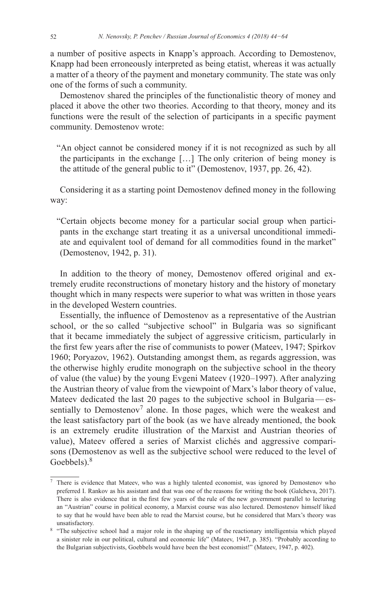a number of positive aspects in Knapp's approach. According to Demostenov, Knapp had been erroneously interpreted as being etatist, whereas it was actually a matter of a theory of the payment and monetary community. The state was only one of the forms of such a community.

Demostenov shared the principles of the functionalistic theory of money and placed it above the other two theories. According to that theory, money and its functions were the result of the selection of participants in a specific payment community. Demostenov wrote:

"An object cannot be considered money if it is not recognized as such by all the participants in the exchange […] The only criterion of being money is the attitude of the general public to it" (Demostenov, 1937, pp. 26, 42).

Considering it as a starting point Demostenov defined money in the following way:

"Certain objects become money for a particular social group when participants in the exchange start treating it as a universal unconditional immediate and equivalent tool of demand for all commodities found in the market" (Demostenov, 1942, p. 31).

In addition to the theory of money, Demostenov offered original and extremely erudite reconstructions of monetary history and the history of monetary thought which in many respects were superior to what was written in those years in the developed Western countries.

Essentially, the influence of Demostenov as a representative of the Austrian school, or the so called "subjective school" in Bulgaria was so significant that it became immediately the subject of aggressive criticism, particularly in the first few years after the rise of communists to power (Mateev, 1947; Spirkov 1960; Poryazov, 1962). Outstanding amongst them, as regards aggression, was the otherwise highly erudite monograph on the subjective school in the theory of value (the value) by the young Evgeni Mateev (1920–1997). After analyzing the Austrian theory of value from the viewpoint of Marx's labor theory of value, Mateev dedicated the last 20 pages to the subjective school in Bulgaria—essentially to Demostenov<sup>7</sup> alone. In those pages, which were the weakest and the least satisfactory part of the book (as we have already mentioned, the book is an extremely erudite illustration of the Marxist and Austrian theories of value), Mateev offered a series of Marxist clichés and aggressive comparisons (Demostenov as well as the subjective school were reduced to the level of Goebbels).<sup>8</sup>

<sup>7</sup> There is evidence that Mateev, who was a highly talented economist, was ignored by Demostenov who preferred I. Rankov as his assistant and that was one of the reasons for writing the book (Galcheva, 2017). There is also evidence that in the first few years of the rule of the new government parallel to lecturing an "Austrian" course in political economy, a Marxist course was also lectured. Demostenov himself liked to say that he would have been able to read the Marxist course, but he considered that Marx's theory was unsatisfactory. 8 "The subjective school had a major role in the shaping up of the reactionary intelligentsia which played

a sinister role in our political, cultural and economic life" (Mateev, 1947, p. 385). "Probably according to the Bulgarian subjectivists, Goebbels would have been the best economist!" (Mateev, 1947, p. 402).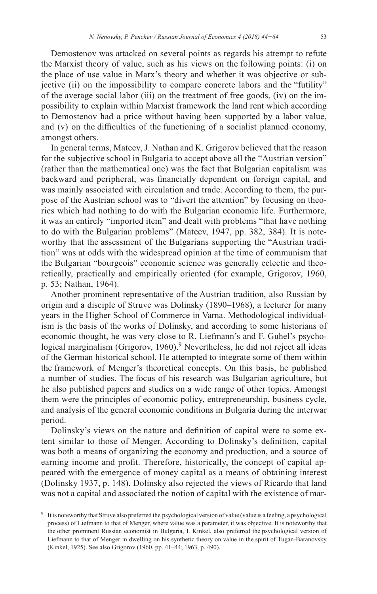Demostenov was attacked on several points as regards his attempt to refute the Marxist theory of value, such as his views on the following points: (i) on the place of use value in Marx's theory and whether it was objective or subjective (ii) on the impossibility to compare concrete labors and the "futility" of the average social labor (iii) on the treatment of free goods, (iv) on the impossibility to explain within Marxist framework the land rent which according to Demostenov had a price without having been supported by a labor value, and (v) on the difficulties of the functioning of a socialist planned economy, amongst others.

In general terms, Mateev, J. Nathan and K. Grigorov believed that the reason for the subjective school in Bulgaria to accept above all the "Austrian version" (rather than the mathematical one) was the fact that Bulgarian capitalism was backward and peripheral, was financially dependent on foreign capital, and was mainly associated with circulation and trade. According to them, the purpose of the Austrian school was to "divert the attention" by focusing on theories which had nothing to do with the Bulgarian economic life. Furthermore, it was an entirely "imported item" and dealt with problems "that have nothing to do with the Bulgarian problems" (Mateev, 1947, pp. 382, 384). It is noteworthy that the assessment of the Bulgarians supporting the "Austrian tradition" was at odds with the widespread opinion at the time of communism that the Bulgarian "bourgeois" economic science was generally eclectic and theoretically, practically and empirically oriented (for example, Grigorov, 1960, p. 53; Nathan, 1964).

Another prominent representative of the Austrian tradition, also Russian by origin and a disciple of Struve was Dolinsky (1890–1968), a lecturer for many years in the Higher School of Commerce in Varna. Methodological individualism is the basis of the works of Dolinsky, and according to some historians of economic thought, he was very close to R. Liefmann's and F. Guhel's psychological marginalism (Grigorov,  $1960$ ).<sup>9</sup> Nevertheless, he did not reject all ideas of the German historical school. He attempted to integrate some of them within the framework of Menger's theoretical concepts. On this basis, he published a number of studies. The focus of his research was Bulgarian agriculture, but he also published papers and studies on a wide range of other topics. Amongst them were the principles of economic policy, entrepreneurship, business cycle, and analysis of the general economic conditions in Bulgaria during the interwar period.

Dolinsky's views on the nature and definition of capital were to some extent similar to those of Menger. According to Dolinsky's definition, capital was both a means of organizing the economy and production, and a source of earning income and profit. Therefore, historically, the concept of capital appeared with the emergence of money capital as a means of obtaining interest (Dolinsky 1937, p. 148). Dolinsky also rejected the views of Ricardo that land was not a capital and associated the notion of capital with the existence of mar-

<sup>&</sup>lt;sup>9</sup> It is noteworthy that Struve also preferred the psychological version of value (value is a feeling, a psychological process) of Liefmann to that of Menger, where value was a parameter, it was objective. It is noteworthy that the other prominent Russian economist in Bulgaria, I. Kinkel, also preferred the psychological version of Liefmann to that of Menger in dwelling on his synthetic theory on value in the spirit of Tugan-Baranovsky (Kinkel, 1925). See also Grigorov (1960, pp. 41–44; 1963, p. 490).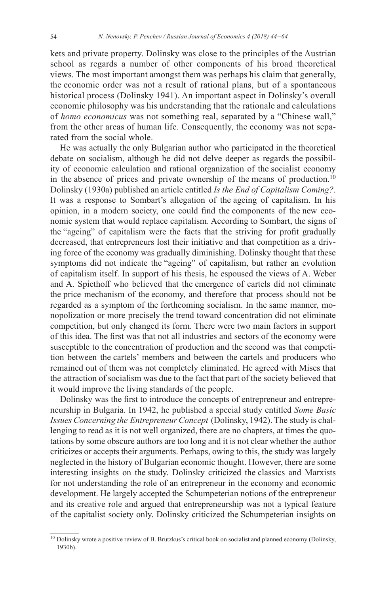kets and private property. Dolinsky was close to the principles of the Austrian school as regards a number of other components of his broad theoretical views. The most important amongst them was perhaps his claim that generally, the economic order was not a result of rational plans, but of a spontaneous historical process (Dolinsky 1941). An important aspect in Dolinsky's overall economic philosophy was his understanding that the rationale and calculations of *homo economicus* was not something real, separated by a "Chinese wall," from the other areas of human life. Consequently, the economy was not separated from the social whole.

He was actually the only Bulgarian author who participated in the theoretical debate on socialism, although he did not delve deeper as regards the possibility of economic calculation and rational organization of the socialist economy in the absence of prices and private ownership of the means of production.<sup>10</sup> Dolinsky (1930a) published an article entitled *Is the End of Capitalism Coming?*. It was a response to Sombart's allegation of the ageing of capitalism. In his opinion, in a modern society, one could find the components of the new economic system that would replace capitalism. According to Sombart, the signs of the "ageing" of capitalism were the facts that the striving for profit gradually decreased, that entrepreneurs lost their initiative and that competition as a driving force of the economy was gradually diminishing. Dolinsky thought that these symptoms did not indicate the "ageing" of capitalism, but rather an evolution of capitalism itself. In support of his thesis, he espoused the views of A. Weber and A. Spiethoff who believed that the emergence of cartels did not eliminate the price mechanism of the economy, and therefore that process should not be regarded as a symptom of the forthcoming socialism. In the same manner, monopolization or more precisely the trend toward concentration did not eliminate competition, but only changed its form. There were two main factors in support of this idea. The first was that not all industries and sectors of the economy were susceptible to the concentration of production and the second was that competition between the cartels' members and between the cartels and producers who remained out of them was not completely eliminated. He agreed with Mises that the attraction of socialism was due to the fact that part of the society believed that it would improve the living standards of the people.

Dolinsky was the first to introduce the concepts of entrepreneur and entrepreneurship in Bulgaria. In 1942, he published a special study entitled *Some Basic Issues Concerning the Entrepreneur Concept* (Dolinsky, 1942). The study is challenging to read as it is not well organized, there are no chapters, at times the quotations by some obscure authors are too long and it is not clear whether the author criticizes or accepts their arguments. Perhaps, owing to this, the study was largely neglected in the history of Bulgarian economic thought. However, there are some interesting insights on the study. Dolinsky criticized the classics and Marxists for not understanding the role of an entrepreneur in the economy and economic development. He largely accepted the Schumpeterian notions of the entrepreneur and its creative role and argued that entrepreneurship was not a typical feature of the capitalist society only. Dolinsky criticized the Schumpeterian insights on

<sup>&</sup>lt;sup>10</sup> Dolinsky wrote a positive review of B. Brutzkus's critical book on socialist and planned economy (Dolinsky, 1930b).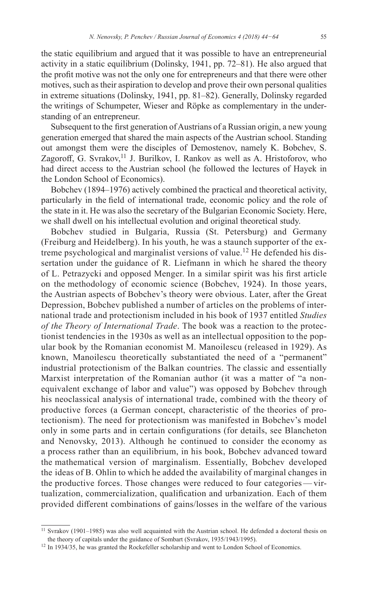the static equilibrium and argued that it was possible to have an entrepreneurial activity in a static equilibrium (Dolinsky, 1941, pp. 72–81). He also argued that the profit motive was not the only one for entrepreneurs and that there were other motives, such as their aspiration to develop and prove their own personal qualities in extreme situations (Dolinsky, 1941, pp. 81–82). Generally, Dolinsky regarded the writings of Schumpeter, Wieser and Röpke as complementary in the understanding of an entrepreneur.

Subsequent to the first generation of Austrians of a Russian origin, a new young generation emerged that shared the main aspects of the Austrian school. Standing out amongst them were the disciples of Demostenov, namely K. Bobchev, S. Zagoroff, G. Svrakov,<sup>11</sup> J. Burilkov, I. Rankov as well as A. Hristoforov, who had direct access to the Austrian school (he followed the lectures of Hayek in the London School of Economics).

Bobchev (1894–1976) actively combined the practical and theoretical activity, particularly in the field of international trade, economic policy and the role of the state in it. He was also the secretary of the Bulgarian Economic Society. Here, we shall dwell on his intellectual evolution and original theoretical study.

Bobchev studied in Bulgaria, Russia (St. Petersburg) and Germany (Freiburg and Heidelberg). In his youth, he was a staunch supporter of the extreme psychological and marginalist versions of value.<sup>12</sup> He defended his dissertation under the guidance of R. Liefmann in which he shared the theory of L. Petrazycki and opposed Menger. In a similar spirit was his first article on the methodology of economic science (Bobchev, 1924). In those years, the Austrian aspects of Bobchev's theory were obvious. Later, after the Great Depression, Bobchev published a number of articles on the problems of international trade and protectionism included in his book of 1937 entitled *Studies of the Theory of International Trade*. The book was a reaction to the protectionist tendencies in the 1930s as well as an intellectual opposition to the popular book by the Romanian economist M. Manoilescu (released in 1929). As known, Manoilescu theoretically substantiated the need of a "permanent" industrial protectionism of the Balkan countries. The classic and essentially Marxist interpretation of the Romanian author (it was a matter of "a nonequivalent exchange of labor and value") was opposed by Bobchev through his neoclassical analysis of international trade, combined with the theory of productive forces (a German concept, characteristic of the theories of protectionism). The need for protectionism was manifested in Bobchev's model only in some parts and in certain configurations (for details, see Blancheton and Nenovsky, 2013). Although he continued to consider the economy as a process rather than an equilibrium, in his book, Bobchev advanced toward the mathematical version of marginalism. Essentially, Bobchev developed the ideas of B. Ohlin to which he added the availability of marginal changes in the productive forces. Those changes were reduced to four categories—virtualization, commercialization, qualification and urbanization. Each of them provided different combinations of gains/losses in the welfare of the various

<sup>&</sup>lt;sup>11</sup> Svrakov (1901-1985) was also well acquainted with the Austrian school. He defended a doctoral thesis on the theory of capitals under the guidance of Sombart (Svrakov, 1935/1943/1995).<br><sup>12</sup> In 1934/35, he was granted the Rockefeller scholarship and went to London School of Economics.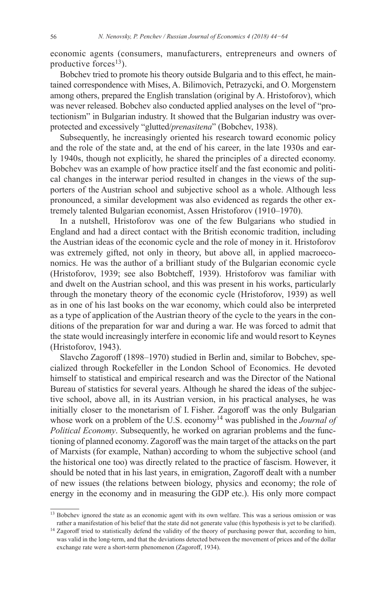economic agents (consumers, manufacturers, entrepreneurs and owners of productive forces<sup>13</sup>).

Bobchev tried to promote his theory outside Bulgaria and to this effect, he maintained correspondence with Mises, A. Bilimovich, Petrazycki, and O. Morgenstern among others, prepared the English translation (original by A. Hristoforov), which was never released. Bobchev also conducted applied analyses on the level of "protectionism" in Bulgarian industry. It showed that the Bulgarian industry was overprotected and excessively "glutted/*prenasitena*" (Bobchev, 1938).

Subsequently, he increasingly oriented his research toward economic policy and the role of the state and, at the end of his career, in the late 1930s and early 1940s, though not explicitly, he shared the principles of a directed economy. Bobchev was an example of how practice itself and the fast economic and political changes in the interwar period resulted in changes in the views of the supporters of the Austrian school and subjective school as a whole. Although less pronounced, a similar development was also evidenced as regards the other extremely talented Bulgarian economist, Assen Hristoforov (1910–1970).

In a nutshell, Hristoforov was one of the few Bulgarians who studied in England and had a direct contact with the British economic tradition, including the Austrian ideas of the economic cycle and the role of money in it. Hristoforov was extremely gifted, not only in theory, but above all, in applied macroeconomics. He was the author of a brilliant study of the Bulgarian economic cycle (Hristoforov, 1939; see also Bobtcheff, 1939). Hristoforov was familiar with and dwelt on the Austrian school, and this was present in his works, particularly through the monetary theory of the economic cycle (Hristoforov, 1939) as well as in one of his last books on the war economy, which could also be interpreted as a type of application of the Austrian theory of the cycle to the years in the conditions of the preparation for war and during a war. He was forced to admit that the state would increasingly interfere in economic life and would resort to Keynes (Hristoforov, 1943).

Slavcho Zagoroff (1898–1970) studied in Berlin and, similar to Bobchev, specialized through Rockefeller in the London School of Economics. He devoted himself to statistical and empirical research and was the Director of the National Bureau of statistics for several years. Although he shared the ideas of the subjective school, above all, in its Austrian version, in his practical analyses, he was initially closer to the monetarism of I.  Fisher. Zagoroff was the only Bulgarian whose work on a problem of the U.S. economy<sup>14</sup> was published in the *Journal of Political Economy*. Subsequently, he worked on agrarian problems and the functioning of planned economy. Zagoroff was the main target of the attacks on the part of Marxists (for example, Nathan) according to whom the subjective school (and the historical one too) was directly related to the practice of fascism. However, it should be noted that in his last years, in emigration, Zagoroff dealt with a number of new issues (the relations between biology, physics and economy; the role of energy in the economy and in measuring the GDP etc.). His only more compact

<sup>&</sup>lt;sup>13</sup> Bobchev ignored the state as an economic agent with its own welfare. This was a serious omission or was rather a manifestation of his belief that the state did not generate value (this hypothesis is yet to be clarified).

<sup>&</sup>lt;sup>14</sup> Zagoroff tried to statistically defend the validity of the theory of purchasing power that, according to him, was valid in the long-term, and that the deviations detected between the movement of prices and of the dollar exchange rate were a short-term phenomenon (Zagoroff, 1934).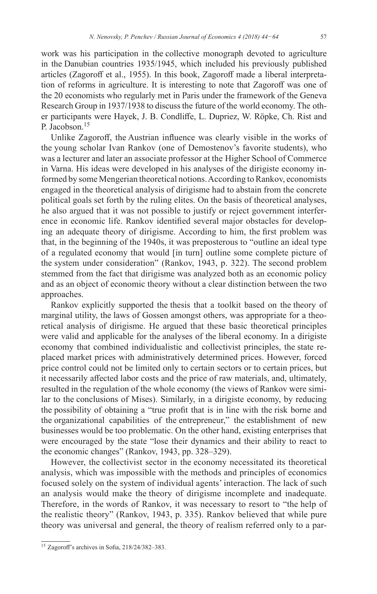work was his participation in the collective monograph devoted to agriculture in the Danubian countries 1935/1945, which included his previously published articles (Zagoroff et al., 1955). In this book, Zagoroff made a liberal interpretation of reforms in agriculture. It is interesting to note that Zagoroff was one of the 20 economists who regularly met in Paris under the framework of the Geneva Research Group in 1937/1938 to discuss the future of the world economy. The other participants were Hayek, J. B. Condliffe, L. Dupriez, W. Röpke, Ch. Rist and P. Jacobson.<sup>15</sup>

Unlike Zagoroff, the Austrian influence was clearly visible in the works of the young scholar Ivan Rankov (one of Demostenov's favorite students), who was a lecturer and later an associate professor at the Higher School of Commerce in Varna. His ideas were developed in his analyses of the dirigiste economy informed by some Mengerian theoretical notions. According to Rankov, economists engaged in the theoretical analysis of dirigisme had to abstain from the concrete political goals set forth by the ruling elites. On the basis of theoretical analyses, he also argued that it was not possible to justify or reject government interference in economic life. Rankov identified several major obstacles for developing an adequate theory of dirigisme. According to him, the first problem was that, in the beginning of the 1940s, it was preposterous to "outline an ideal type of a regulated economy that would [in turn] outline some complete picture of the system under consideration" (Rankov, 1943, p. 322). The second problem stemmed from the fact that dirigisme was analyzed both as an economic policy and as an object of economic theory without a clear distinction between the two approaches.

Rankov explicitly supported the thesis that a toolkit based on the theory of marginal utility, the laws of Gossen amongst others, was appropriate for a theoretical analysis of dirigisme. He argued that these basic theoretical principles were valid and applicable for the analyses of the liberal economy. In a dirigiste economy that combined individualistic and collectivist principles, the state replaced market prices with administratively determined prices. However, forced price control could not be limited only to certain sectors or to certain prices, but it necessarily affected labor costs and the price of raw materials, and, ultimately, resulted in the regulation of the whole economy (the views of Rankov were similar to the conclusions of Mises). Similarly, in a dirigiste economy, by reducing the possibility of obtaining a "true profit that is in line with the risk borne and the organizational capabilities of the entrepreneur," the establishment of new businesses would be too problematic. On the other hand, existing enterprises that were encouraged by the state "lose their dynamics and their ability to react to the economic changes" (Rankov, 1943, pp. 328–329).

However, the collectivist sector in the economy necessitated its theoretical analysis, which was impossible with the methods and principles of economics focused solely on the system of individual agents' interaction. The lack of such an analysis would make the theory of dirigisme incomplete and inadequate. Therefore, in the words of Rankov, it was necessary to resort to "the help of the realistic theory" (Rankov, 1943, p. 335). Rankov believed that while pure theory was universal and general, the theory of realism referred only to a par-

<sup>15</sup> Zagoroff's archives in Sofia, 218/24/382–383.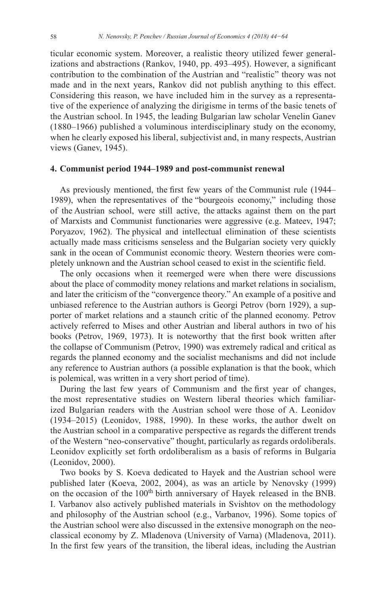ticular economic system. Moreover, a realistic theory utilized fewer generalizations and abstractions (Rankov, 1940, pp. 493–495). However, a significant contribution to the combination of the Austrian and "realistic" theory was not made and in the next years, Rankov did not publish anything to this effect. Considering this reason, we have included him in the survey as a representative of the experience of analyzing the dirigisme in terms of the basic tenets of the Austrian school. In 1945, the leading Bulgarian law scholar Venelin Ganev (1880–1966) published a voluminous interdisciplinary study on the economy, when he clearly exposed his liberal, subjectivist and, in many respects, Austrian views (Ganev, 1945).

#### **4. Communist period 1944–1989 and post-communist renewal**

As previously mentioned, the first few years of the Communist rule (1944– 1989), when the representatives of the "bourgeois economy," including those of the Austrian school, were still active, the attacks against them on the part of Marxists and Communist functionaries were aggressive (e.g. Mateev, 1947; Poryazov, 1962). The physical and intellectual elimination of these scientists actually made mass criticisms senseless and the Bulgarian society very quickly sank in the ocean of Communist economic theory. Western theories were completely unknown and the Austrian school ceased to exist in the scientific field.

The only occasions when it reemerged were when there were discussions about the place of commodity money relations and market relations in socialism, and later the criticism of the "convergence theory." An example of a positive and unbiased reference to the Austrian authors is Georgi Petrov (born 1929), a supporter of market relations and a staunch critic of the planned economy. Petrov actively referred to Mises and other Austrian and liberal authors in two of his books (Petrov, 1969, 1973). It is noteworthy that the first book written after the collapse of Communism (Petrov, 1990) was extremely radical and critical as regards the planned economy and the socialist mechanisms and did not include any reference to Austrian authors (a possible explanation is that the book, which is polemical, was written in a very short period of time).

During the last few years of Communism and the first year of changes, the most representative studies on Western liberal theories which familiarized Bulgarian readers with the Austrian school were those of A. Leonidov (1934–2015) (Leonidov, 1988, 1990). In these works, the author dwelt on the Austrian school in a comparative perspective as regards the different trends of the Western "neo-conservative" thought, particularly as regards ordoliberals. Leonidov explicitly set forth ordoliberalism as a basis of reforms in Bulgaria (Leonidov, 2000).

Two books by S. Koeva dedicated to Hayek and the Austrian school were published later (Koeva, 2002, 2004), as was an article by Nenovsky (1999) on the occasion of the 100<sup>th</sup> birth anniversary of Hayek released in the BNB. I. Varbanov also actively published materials in Svishtov on the methodology and philosophy of the Austrian school (e.g., Varbanov, 1996). Some topics of the Austrian school were also discussed in the extensive monograph on the neoclassical economy by Z. Mladenova (University of Varna) (Mladenova, 2011). In the first few years of the transition, the liberal ideas, including the Austrian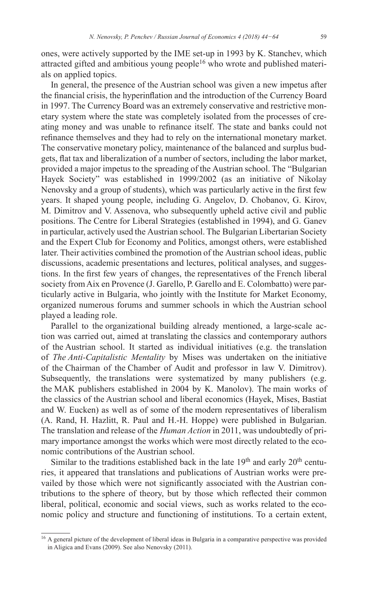ones, were actively supported by the IME set-up in 1993 by K. Stanchev, which attracted gifted and ambitious young people<sup>16</sup> who wrote and published materials on applied topics.

In general, the presence of the Austrian school was given a new impetus after the financial crisis, the hyperinflation and the introduction of the Currency Board in 1997. The Currency Board was an extremely conservative and restrictive monetary system where the state was completely isolated from the processes of creating money and was unable to refinance itself. The state and banks could not refinance themselves and they had to rely on the international monetary market. The conservative monetary policy, maintenance of the balanced and surplus budgets, flat tax and liberalization of a number of sectors, including the labor market, provided a major impetus to the spreading of the Austrian school. The "Bulgarian Hayek Society" was established in 1999/2002 (as an initiative of Nikolay Nenovsky and a group of students), which was particularly active in the first few years. It shaped young people, including G. Angelov, D. Chobanov, G. Kirov, M. Dimitrov and V. Assenova, who subsequently upheld active civil and public positions. The Centre for Liberal Strategies (established in 1994), and G. Ganev in particular, actively used the Austrian school. The Bulgarian Libertarian Society and the Expert Club for Economy and Politics, amongst others, were established later. Their activities combined the promotion of the Austrian school ideas, public discussions, academic presentations and lectures, political analyses, and suggestions. In the first few years of changes, the representatives of the French liberal society from Aix en Provence (J. Garello, P. Garello and E. Colombatto) were particularly active in Bulgaria, who jointly with the Institute for Market Economy, organized numerous forums and summer schools in which the Austrian school played a leading role.

Parallel to the organizational building already mentioned, a large-scale action was carried out, aimed at translating the classics and contemporary authors of the Austrian school. It started as individual initiatives (e.g. the translation of *The Anti-Capitalistic Mentality* by Mises was undertaken on the initiative of the Chairman of the Chamber of Audit and professor in law V. Dimitrov). Subsequently, the translations were systematized by many publishers (e.g. the MAK publishers established in 2004 by K. Manolov). The main works of the classics of the Austrian school and liberal economics (Hayek, Mises, Bastiat and W. Eucken) as well as of some of the modern representatives of liberalism (A. Rand, H. Hazlitt, R. Paul and H.-H. Hoppe) were published in Bulgarian. The translation and release of the *Human Action* in 2011, was undoubtedly of primary importance amongst the works which were most directly related to the economic contributions of the Austrian school.

Similar to the traditions established back in the late  $19<sup>th</sup>$  and early  $20<sup>th</sup>$  centuries, it appeared that translations and publications of Austrian works were prevailed by those which were not significantly associated with the Austrian contributions to the sphere of theory, but by those which reflected their common liberal, political, economic and social views, such as works related to the economic policy and structure and functioning of institutions. To a certain extent,

<sup>&</sup>lt;sup>16</sup> A general picture of the development of liberal ideas in Bulgaria in a comparative perspective was provided in Aligica and Evans (2009). See also Nenovsky (2011).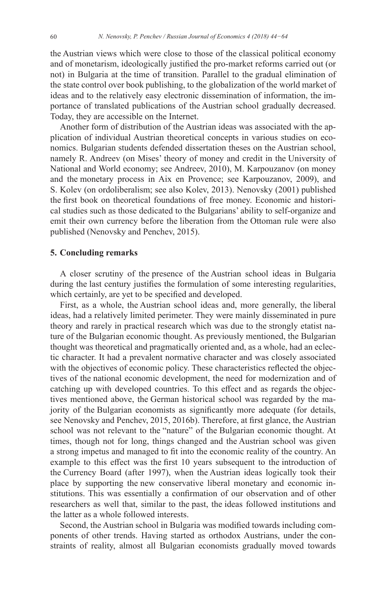the Austrian views which were close to those of the classical political economy and of monetarism, ideologically justified the pro-market reforms carried out (or not) in Bulgaria at the time of transition. Parallel to the gradual elimination of the state control over book publishing, to the globalization of the world market of ideas and to the relatively easy electronic dissemination of information, the importance of translated publications of the Austrian school gradually decreased. Today, they are accessible on the Internet.

Another form of distribution of the Austrian ideas was associated with the application of individual Austrian theoretical concepts in various studies on economics. Bulgarian students defended dissertation theses on the Austrian school, namely R. Andreev (on Mises' theory of money and credit in the University of National and World economy; see Andreev, 2010), M. Karpouzanov (on money and the monetary process in Aix en Provence; see Karpouzanov, 2009), and S. Kolev (on ordoliberalism; see also Kolev, 2013). Nenovsky (2001) published the first book on theoretical foundations of free money. Economic and historical studies such as those dedicated to the Bulgarians' ability to self-organize and emit their own currency before the liberation from the Ottoman rule were also published (Nenovsky and Penchev, 2015).

#### **5. Concluding remarks**

A closer scrutiny of the presence of the Austrian school ideas in Bulgaria during the last century justifies the formulation of some interesting regularities, which certainly, are yet to be specified and developed.

First, as a whole, the Austrian school ideas and, more generally, the liberal ideas, had a relatively limited perimeter. They were mainly disseminated in pure theory and rarely in practical research which was due to the strongly etatist nature of the Bulgarian economic thought. As previously mentioned, the Bulgarian thought was theoretical and pragmatically oriented and, as a whole, had an eclectic character. It had a prevalent normative character and was closely associated with the objectives of economic policy. These characteristics reflected the objectives of the national economic development, the need for modernization and of catching up with developed countries. To this effect and as regards the objectives mentioned above, the German historical school was regarded by the majority of the Bulgarian economists as significantly more adequate (for details, see Nenovsky and Penchev, 2015, 2016b). Therefore, at first glance, the Austrian school was not relevant to the "nature" of the Bulgarian economic thought. At times, though not for long, things changed and the Austrian school was given a strong impetus and managed to fit into the economic reality of the country. An example to this effect was the first 10 years subsequent to the introduction of the Currency Board (after 1997), when the Austrian ideas logically took their place by supporting the new conservative liberal monetary and economic institutions. This was essentially a confirmation of our observation and of other researchers as well that, similar to the past, the ideas followed institutions and the latter as a whole followed interests.

Second, the Austrian school in Bulgaria was modified towards including components of other trends. Having started as orthodox Austrians, under the constraints of reality, almost all Bulgarian economists gradually moved towards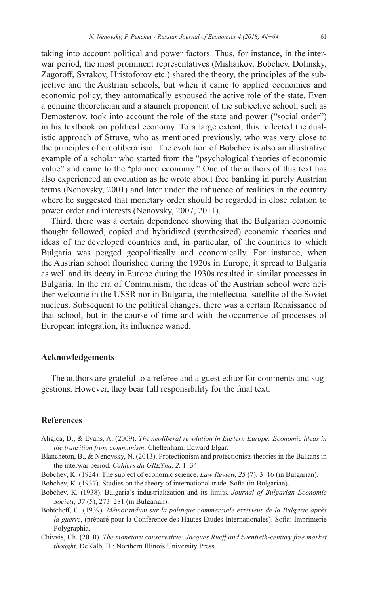taking into account political and power factors. Thus, for instance, in the interwar period, the most prominent representatives (Mishaikov, Bobchev, Dolinsky, Zagoroff, Svrakov, Hristoforov etc.) shared the theory, the principles of the subjective and the Austrian schools, but when it came to applied economics and economic policy, they automatically espoused the active role of the state. Even a genuine theoretician and a staunch proponent of the subjective school, such as Demostenov, took into account the role of the state and power ("social order") in his textbook on political economy. To a large extent, this reflected the dualistic approach of Struve, who as mentioned previously, who was very close to the principles of ordoliberalism. The evolution of Bobchev is also an illustrative example of a scholar who started from the "psychological theories of economic value" and came to the "planned economy." One of the authors of this text has also experienced an evolution as he wrote about free banking in purely Austrian terms (Nenovsky, 2001) and later under the influence of realities in the country where he suggested that monetary order should be regarded in close relation to power order and interests (Nenovsky, 2007, 2011).

Third, there was a certain dependence showing that the Bulgarian economic thought followed, copied and hybridized (synthesized) economic theories and ideas of the developed countries and, in particular, of the countries to which Bulgaria was pegged geopolitically and economically. For instance, when the Austrian school flourished during the 1920s in Europe, it spread to Bulgaria as well and its decay in Europe during the 1930s resulted in similar processes in Bulgaria. In the era of Communism, the ideas of the Austrian school were neither welcome in the USSR nor in Bulgaria, the intellectual satellite of the Soviet nucleus. Subsequent to the political changes, there was a certain Renaissance of that school, but in the course of time and with the occurrence of processes of European integration, its influence waned.

## **Acknowledgements**

The authors are grateful to a referee and a guest editor for comments and suggestions. However, they bear full responsibility for the final text.

### **References**

- Aligica, D., & Evans, A. (2009). *The neoliberal revolution in Eastern Europe: Economic ideas in the transition from communism*. Cheltenham: Edward Elgar.
- Blancheton, B., & Nenovsky, N. (2013). Protectionism and protectionists theories in the Balkans in the interwar period. *Cahiers du GRETha, 2,* 1–34.
- Bobchev, K. (1924). The subject of economic science. *Law Review, 25* (7), 3–16 (in Bulgarian).
- Bobchev, К. (1937). Studies on the theory of international trade. Sofia (in Bulgarian).
- Bobchev, К. (1938). Bulgaria's industrialization and its limits. *Journal of Bulgarian Economic Society, 37* (5), 273–281 (in Bulgarian).
- Bobtcheff, C. (1939). *Mémorandum sur la politique commerciale extérieur de la Bulgarie après la guerre*, (préparé pour la Conférence des Hautes Etudes Internationales). Sofia: Imprimerie Polygraphia.
- Chivvis, Ch. (2010). *The monetary conservative: Jacques Rueff and twentieth-century free market thought*. DeKalb, IL: Northern Illinois University Press.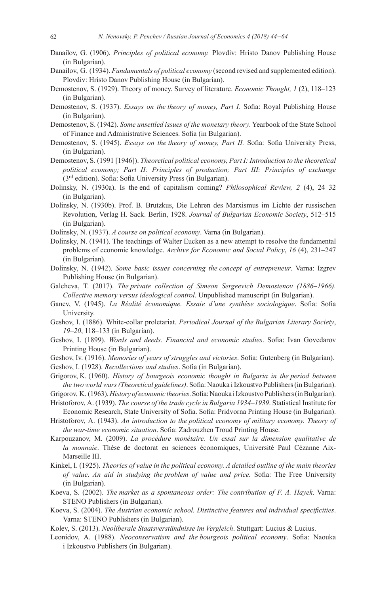- Danailov, G. (1906). *Principles of political economy.* Plovdiv: Hristo Danov Publishing House (in Bulgarian).
- Danailov, G. (1934). *Fundamentals of political economy* (second revised and supplemented edition). Plovdiv: Hristo Danov Publishing House (in Bulgarian).
- Demostenov, S. (1929). Theory of money. Survey of literature. *Economic Thought, 1* (2), 118–123 (in Bulgarian).
- Demostenov, S. (1937). *Essays on the theory of money, Part I*. Sofia: Royal Publishing House (in Bulgarian).
- Demostenov, S. (1942). *Some unsettled issues of the monetary theory*. Yearbook of the State School of Finance and Administrative Sciences. Sofia (in Bulgarian).
- Demostenov, S. (1945). *Essays on the theory of money, Part II.* Sofia: Sofia University Press, (in Bulgarian).
- Demostenov, S. (1991 [1946]). *Theoretical political economy, Part I: Introduction to the theoretical political economy; Part II: Principles of production; Part III: Principles of exchange*  (3rd edition). Sofia: Sofia University Press (in Bulgarian).
- Dolinsky, N. (1930a). Is the end of capitalism coming? *Philosophical Review, 2* (4), 24–32 (in Bulgarian).
- Dolinsky, N. (1930b). Prof. B. Brutzkus, Die Lehren des Marxismus im Lichte der russischen Revolution, Verlag H. Sack. Berlin, 1928. *Journal of Bulgarian Economic Society*, 512–515 (in Bulgarian).
- Dolinsky, N. (1937). *A course on political economy*. Varna (in Bulgarian).
- Dolinsky, N. (1941). The teachings of Walter Eucken as a new attempt to resolve the fundamental problems of economic knowledge. *Archive for Economic and Social Policy*, *16* (4), 231–247 (in Bulgarian).
- Dolinsky, N. (1942). *Some basic issues concerning the concept of entrepreneur*. Varna: Izgrev Publishing House (in Bulgarian).
- Galcheva, T. (2017). *The private collection of Simeon Sergeevich Demostenov (1886–1966). Collective memory versus ideological control.* Unpublished manuscript (in Bulgarian).
- Ganev, V. (1945). *La Réalité économique. Essaie d'une synthèse sociologique*. Sofia: Sofia University.
- Geshov, I. (1886). White-collar proletariat. *Periodical Journal of the Bulgarian Literary Society*, *19–20*, 118–133 (in Bulgarian).
- Geshov, I. (1899). *Words and deeds. Financial and economic studies*. Sofia: Ivan Govedarov Printing House (in Bulgarian).
- Geshov, Iv. (1916). *Memories of years of struggles and victories*. Sofia: Gutenberg (in Bulgarian).
- Geshov, I. (1928). *Recollections and studies*. Sofia (in Bulgarian).
- Grigorov, K. (1960). *History of bourgeois economic thought in Bulgaria in the period between the two world wars (Theoretical guidelines)*. Sofia: Naouka iIzkoustvo Publishers (inBulgarian).
- Grigorov, K. (1963). *History of economic theories*. Sofia: Naouka iIzkoustvo Publishers (inBulgarian).
- Hristoforov, А. (1939). *The course of the trade cycle in Bulgaria 1934–1939*. Statistical Institute for Economic Research, State University of Sofia. Sofia: Pridvorna Printing House (in Bulgarian).
- Hristoforov, А. (1943). *An introduction to the political economy of military economy. Theory of the war-time economic situation*. Sofia: Zadrouzhen Troud Printing House.
- Karpouzanov, M. (2009). *La procédure monétaire. Un essai sur la dimension qualitative de la monnaie*. Thèse de doctorat en sciences économiques, Université Paul Cézanne Aix-Marseille III.
- Kinkel, I. (1925). *Theories of value in the political economy. A detailed outline of the main theories of value*. *An aid in studying the problem of value and price.* Sofia: The Free University (in Bulgarian).
- Koeva, S. (2002). *The market as a spontaneous order: The contribution of F. A. Hayek*. Varna: STENO Publishers (in Bulgarian).
- Koeva, S. (2004). *The Austrian economic school. Distinctive features and individual specificities*. Varna: STENO Publishers (in Bulgarian).
- Kolev, S. (2013). *Neoliberale Staatsverständnisse im Vergleich*. Stuttgart: Lucius & Lucius.
- Leonidov, А. (1988). *Neoconservatism and the bourgeois political economy*. Sofia: Naouka i Izkoustvo Publishers (in Bulgarian).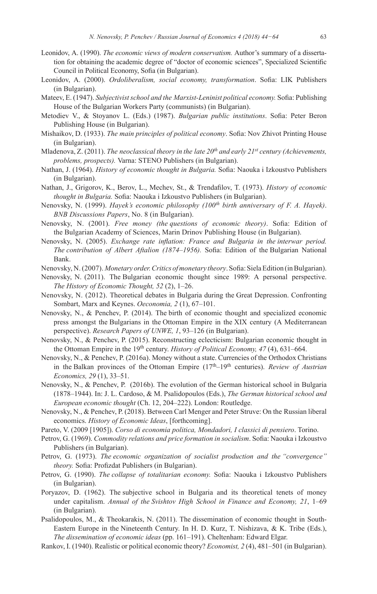- Leonidov, А. (1990). *The economic views of modern conservatism.* Author's summary of a dissertation for obtaining the academic degree of "doctor of economic sciences", Specialized Scientific Council in Political Economy, Sofia (in Bulgarian).
- Leonidov, A. (2000). *Ordoliberalism, social economy, transformation*. Sofia: LIK Publishers (in Bulgarian).
- Mateev, E. (1947). *Subjectivist school and the Marxist-Leninist political economy.* Sofia: Publishing House of the Bulgarian Workers Party (communists) (in Bulgarian).
- Metodiev V., & Stoyanov L. (Eds.) (1987). *Bulgarian public institutions*. Sofia: Peter Beron Publishing House (in Bulgarian).
- Mishaikov, D. (1933). *The main principles of political economy*. Sofia: Nov Zhivot Printing House (in Bulgarian).
- Mladenova, Z. (2011). *The neoclassical theory in the late 20th and early 21st century (Achievements, problems, prospects).* Varna: STENO Publishers (in Bulgarian).
- Nathan, J. (1964). *History of economic thought in Bulgaria.* Sofia: Naouka i Izkoustvo Publishers (in Bulgarian).
- Nathan, J., Grigorov, K., Berov, L., Mechev, St., & Trendafilov, T. (1973). *History of economic thought in Bulgaria.* Sofia: Naouka i Izkoustvo Publishers (in Bulgarian).
- Nenovsky, N. (1999). *Hayek's economic philosophy (100th birth anniversary of F. A. Hayek)*. *BNB Discussions Papers*, No. 8 (in Bulgarian).
- Nenovsky, N. (2001). *Free money (the questions of economic theory)*. Sofia: Edition of the Bulgarian Academy of Sciences, Marin Drinov Publishing House (in Bulgarian).
- Nenovsky, N. (2005). *Exchange rate inflation: France and Bulgaria in the interwar period. The contribution of Albert Aftalion (1874–1956).* Sofia: Edition of the Bulgarian National Bank.

Nenovsky, N. (2007). *Monetary order. Critics of monetary theory*. Sofia: Siela Edition (inBulgarian).

- Nenovsky, N. (2011). The Bulgarian economic thought since 1989: A personal perspective. *The History of Economic Thought, 52* (2), 1–26.
- Nenovsky, N. (2012). Theoretical debates in Bulgaria during the Great Depression. Confronting Sombart, Marx and Keynes. *Oeconomia, 2* (1), 67–101.
- Nenovsky, N., & Penchev, P. (2014). The birth of economic thought and specialized economic press amongst the Bulgarians in the Ottoman Empire in the XIX century (A Mediterranean perspective). *Research Papers of UNWE, 1*, 93–126 (in Bulgarian).
- Nenovsky, N., & Penchev, P. (2015). Reconstructing eclecticism: Bulgarian economic thought in the Ottoman Empire in the 19<sup>th</sup> century. *History of Political Economy, 47* (4), 631–664.
- Nenovsky, N., & Penchev, P. (2016a). Money without a state. Currencies of the Orthodox Christians in the Balkan provinces of the Ottoman Empire (17<sup>th</sup>–19<sup>th</sup> centuries). *Review of Austrian Economics, 29* (1), 33–51.
- Nenovsky, N., & Penchev, P. (2016b). The evolution of the German historical school in Bulgaria (1878–1944). In: J. L. Cardoso, & M. Psalidopoulos (Eds.), *The German historical school and European economic thought* (Ch. 12, 204–222). London: Routledge.
- Nenovsky, N., & Penchev, P. (2018). Between Carl Menger and Peter Struve: On the Russian liberal economics. *History of Economic Ideas*, [forthcoming].
- Pareto, V. (2009 [1905]). *Corso di economia politica, Mondadori, I classici di pensiero*. Torino.
- Petrov, G. (1969). *Commodity relations and price formation in socialism*. Sofia: Naouka i Izkoustvo Publishers (in Bulgarian).
- Petrov, G. (1973). *The economic organization of socialist production and the "convergence" theory.* Sofia: Profizdat Publishers (in Bulgarian).
- Petrov, G. (1990). *The collapse of totalitarian economy.* Sofia: Naouka i Izkoustvo Publishers (in Bulgarian).
- Poryazov, D. (1962). The subjective school in Bulgaria and its theoretical tenets of money under capitalism. *Annual of the Svishtov High School in Finance and Economy, 21*, 1–69 (in Bulgarian).
- Psalidopoulos, M., & Theokarakis, N. (2011). The dissemination of economic thought in South-Eastern Europe in the Nineteenth Century. In H. D. Kurz, T. Nishizava, & K. Tribe (Eds.), *The dissemination of economic ideas* (pp. 161–191). Cheltenham: Edward Elgar.
- Rankov, I. (1940). Realistic or political economic theory? *Economist, 2* (4), 481–501 (in Bulgarian).